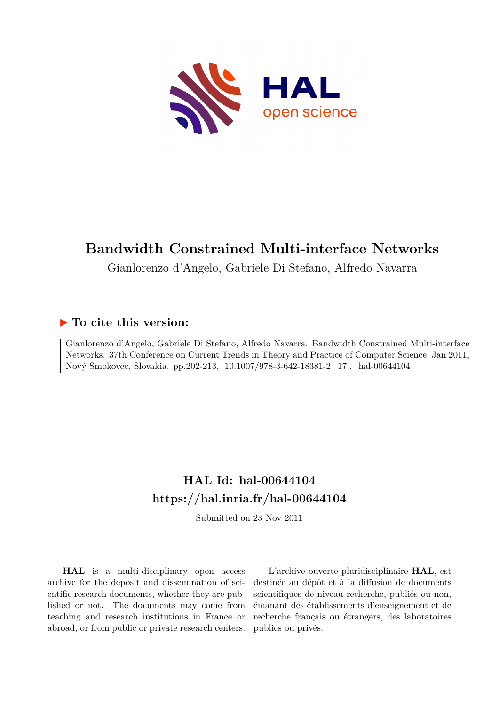

# **Bandwidth Constrained Multi-interface Networks**

Gianlorenzo d'Angelo, Gabriele Di Stefano, Alfredo Navarra

### **To cite this version:**

Gianlorenzo d'Angelo, Gabriele Di Stefano, Alfredo Navarra. Bandwidth Constrained Multi-interface Networks. 37th Conference on Current Trends in Theory and Practice of Computer Science, Jan 2011, Nový Smokovec, Slovakia. pp.202-213, 10.1007/978-3-642-18381-2 17. hal-00644104

## **HAL Id: hal-00644104 <https://hal.inria.fr/hal-00644104>**

Submitted on 23 Nov 2011

**HAL** is a multi-disciplinary open access archive for the deposit and dissemination of scientific research documents, whether they are published or not. The documents may come from teaching and research institutions in France or abroad, or from public or private research centers.

L'archive ouverte pluridisciplinaire **HAL**, est destinée au dépôt et à la diffusion de documents scientifiques de niveau recherche, publiés ou non, émanant des établissements d'enseignement et de recherche français ou étrangers, des laboratoires publics ou privés.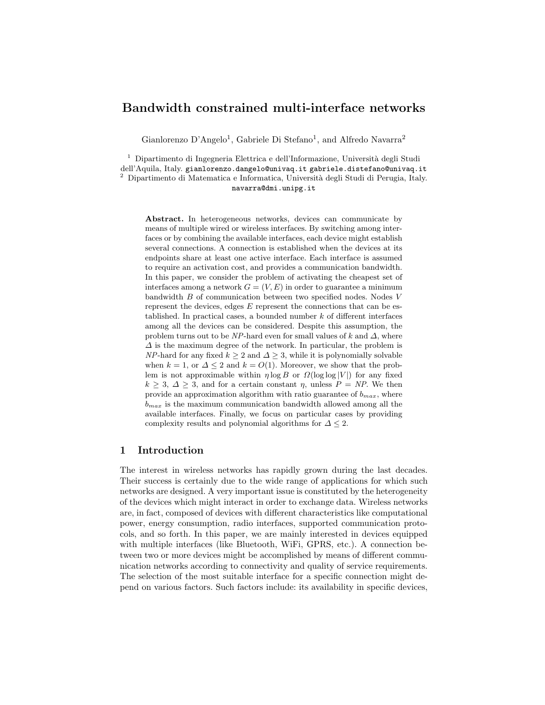### Bandwidth constrained multi-interface networks

Gianlorenzo D'Angelo<sup>1</sup>, Gabriele Di Stefano<sup>1</sup>, and Alfredo Navarra<sup>2</sup>

<sup>1</sup> Dipartimento di Ingegneria Elettrica e dell'Informazione, Università degli Studi dell'Aquila, Italy. gianlorenzo.dangelo@univaq.it gabriele.distefano@univaq.it  $^2$  Dipartimento di Matematica e Informatica, Università degli Studi di Perugia, Italy.

#### navarra@dmi.unipg.it

Abstract. In heterogeneous networks, devices can communicate by means of multiple wired or wireless interfaces. By switching among interfaces or by combining the available interfaces, each device might establish several connections. A connection is established when the devices at its endpoints share at least one active interface. Each interface is assumed to require an activation cost, and provides a communication bandwidth. In this paper, we consider the problem of activating the cheapest set of interfaces among a network  $G = (V, E)$  in order to guarantee a minimum bandwidth B of communication between two specified nodes. Nodes V represent the devices, edges  $E$  represent the connections that can be established. In practical cases, a bounded number  $k$  of different interfaces among all the devices can be considered. Despite this assumption, the problem turns out to be NP-hard even for small values of k and  $\Delta$ , where  $\Delta$  is the maximum degree of the network. In particular, the problem is NP-hard for any fixed  $k \geq 2$  and  $\Delta \geq 3$ , while it is polynomially solvable when  $k = 1$ , or  $\Delta \leq 2$  and  $k = O(1)$ . Moreover, we show that the problem is not approximable within  $\eta \log B$  or  $\Omega(\log \log |V|)$  for any fixed  $k \geq 3, \Delta \geq 3$ , and for a certain constant  $\eta$ , unless  $P = NP$ . We then provide an approximation algorithm with ratio guarantee of  $b_{max}$ , where  $b_{max}$  is the maximum communication bandwidth allowed among all the available interfaces. Finally, we focus on particular cases by providing complexity results and polynomial algorithms for  $\Delta \leq 2$ .

#### 1 Introduction

The interest in wireless networks has rapidly grown during the last decades. Their success is certainly due to the wide range of applications for which such networks are designed. A very important issue is constituted by the heterogeneity of the devices which might interact in order to exchange data. Wireless networks are, in fact, composed of devices with different characteristics like computational power, energy consumption, radio interfaces, supported communication protocols, and so forth. In this paper, we are mainly interested in devices equipped with multiple interfaces (like Bluetooth, WiFi, GPRS, etc.). A connection between two or more devices might be accomplished by means of different communication networks according to connectivity and quality of service requirements. The selection of the most suitable interface for a specific connection might depend on various factors. Such factors include: its availability in specific devices,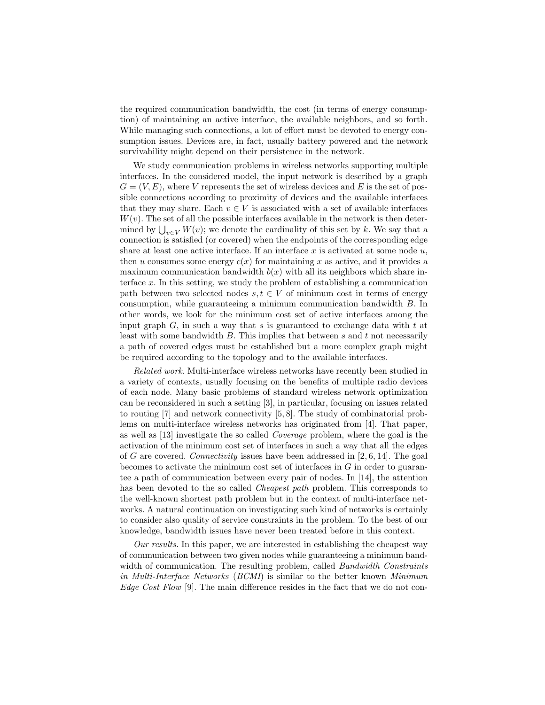the required communication bandwidth, the cost (in terms of energy consumption) of maintaining an active interface, the available neighbors, and so forth. While managing such connections, a lot of effort must be devoted to energy consumption issues. Devices are, in fact, usually battery powered and the network survivability might depend on their persistence in the network.

We study communication problems in wireless networks supporting multiple interfaces. In the considered model, the input network is described by a graph  $G = (V, E)$ , where V represents the set of wireless devices and E is the set of possible connections according to proximity of devices and the available interfaces that they may share. Each  $v \in V$  is associated with a set of available interfaces  $W(v)$ . The set of all the possible interfaces available in the network is then deter*w* (*v*). The set of all the possible interfaces available in the network is then determined by  $\bigcup_{v \in V} W(v)$ ; we denote the cardinality of this set by k. We say that a connection is satisfied (or covered) when the endpoints of the corresponding edge share at least one active interface. If an interface  $x$  is activated at some node  $u$ , then u consumes some energy  $c(x)$  for maintaining x as active, and it provides a maximum communication bandwidth  $b(x)$  with all its neighbors which share interface  $x$ . In this setting, we study the problem of establishing a communication path between two selected nodes  $s, t \in V$  of minimum cost in terms of energy consumption, while guaranteeing a minimum communication bandwidth B. In other words, we look for the minimum cost set of active interfaces among the input graph  $G$ , in such a way that s is guaranteed to exchange data with  $t$  at least with some bandwidth  $B$ . This implies that between  $s$  and  $t$  not necessarily a path of covered edges must be established but a more complex graph might be required according to the topology and to the available interfaces.

Related work. Multi-interface wireless networks have recently been studied in a variety of contexts, usually focusing on the benefits of multiple radio devices of each node. Many basic problems of standard wireless network optimization can be reconsidered in such a setting [3], in particular, focusing on issues related to routing [7] and network connectivity [5, 8]. The study of combinatorial problems on multi-interface wireless networks has originated from [4]. That paper, as well as [13] investigate the so called Coverage problem, where the goal is the activation of the minimum cost set of interfaces in such a way that all the edges of G are covered. Connectivity issues have been addressed in  $[2, 6, 14]$ . The goal becomes to activate the minimum cost set of interfaces in  $G$  in order to guarantee a path of communication between every pair of nodes. In [14], the attention has been devoted to the so called *Cheapest path* problem. This corresponds to the well-known shortest path problem but in the context of multi-interface networks. A natural continuation on investigating such kind of networks is certainly to consider also quality of service constraints in the problem. To the best of our knowledge, bandwidth issues have never been treated before in this context.

Our results. In this paper, we are interested in establishing the cheapest way of communication between two given nodes while guaranteeing a minimum bandwidth of communication. The resulting problem, called *Bandwidth Constraints* in Multi-Interface Networks (BCMI) is similar to the better known Minimum Edge Cost Flow [9]. The main difference resides in the fact that we do not con-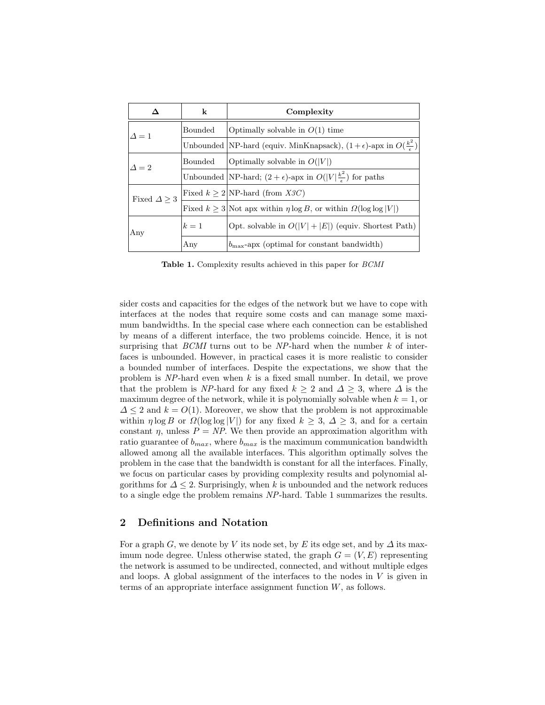|                    | k       | Complexity                                                                                |
|--------------------|---------|-------------------------------------------------------------------------------------------|
| $\Delta = 1$       | Bounded | Optimally solvable in $O(1)$ time                                                         |
|                    |         | Unbounded  NP-hard (equiv. MinKnapsack), $(1+\epsilon)$ -apx in $O(\frac{k^2}{\epsilon})$ |
| $\Lambda = 2$      | Bounded | Optimally solvable in $O( V )$                                                            |
|                    |         | Unbounded NP-hard; $(2 + \epsilon)$ -apx in $O( V  \frac{k^2}{\epsilon})$ for paths       |
| Fixed $\Delta > 3$ |         | Fixed $k > 2$ NP-hard (from X3C)                                                          |
|                    |         | Fixed $k > 3$ Not apx within $\eta \log B$ , or within $\Omega(\log \log  V )$            |
| Any                | $k=1$   | Opt. solvable in $O( V  +  E )$ (equiv. Shortest Path)                                    |
|                    | Any     | $b_{\text{max}}$ -apx (optimal for constant bandwidth)                                    |

Table 1. Complexity results achieved in this paper for BCMI

sider costs and capacities for the edges of the network but we have to cope with interfaces at the nodes that require some costs and can manage some maximum bandwidths. In the special case where each connection can be established by means of a different interface, the two problems coincide. Hence, it is not surprising that  $BCMI$  turns out to be NP-hard when the number  $k$  of interfaces is unbounded. However, in practical cases it is more realistic to consider a bounded number of interfaces. Despite the expectations, we show that the problem is  $NP$ -hard even when k is a fixed small number. In detail, we prove that the problem is NP-hard for any fixed  $k \geq 2$  and  $\Delta \geq 3$ , where  $\Delta$  is the maximum degree of the network, while it is polynomially solvable when  $k = 1$ , or  $\Delta \leq 2$  and  $k = O(1)$ . Moreover, we show that the problem is not approximable within  $\eta \log B$  or  $\Omega(\log \log |V|)$  for any fixed  $k \geq 3$ ,  $\Delta \geq 3$ , and for a certain constant  $\eta$ , unless  $P = NP$ . We then provide an approximation algorithm with ratio guarantee of  $b_{max}$ , where  $b_{max}$  is the maximum communication bandwidth allowed among all the available interfaces. This algorithm optimally solves the problem in the case that the bandwidth is constant for all the interfaces. Finally, we focus on particular cases by providing complexity results and polynomial algorithms for  $\Delta \leq 2$ . Surprisingly, when k is unbounded and the network reduces to a single edge the problem remains NP-hard. Table 1 summarizes the results.

#### 2 Definitions and Notation

For a graph G, we denote by V its node set, by E its edge set, and by  $\Delta$  its maximum node degree. Unless otherwise stated, the graph  $G = (V, E)$  representing the network is assumed to be undirected, connected, and without multiple edges and loops. A global assignment of the interfaces to the nodes in  $V$  is given in terms of an appropriate interface assignment function  $W$ , as follows.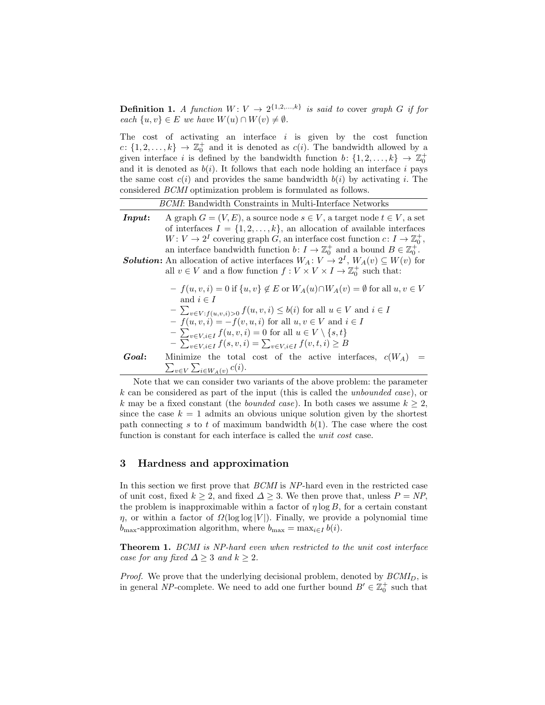**Definition 1.** A function  $W: V \to 2^{\{1,2,\ldots,k\}}$  is said to cover graph G if for each  $\{u, v\} \in E$  we have  $W(u) \cap W(v) \neq \emptyset$ .

The cost of activating an interface  $i$  is given by the cost function c:  $\{1, 2, ..., k\}$   $\rightarrow \mathbb{Z}_0^+$  and it is denoted as  $c(i)$ . The bandwidth allowed by a given interface i is defined by the bandwidth function  $b: \{1, 2, ..., k\} \rightarrow \mathbb{Z}_0^+$ and it is denoted as  $b(i)$ . It follows that each node holding an interface i pays the same cost  $c(i)$  and provides the same bandwidth  $b(i)$  by activating i. The considered BCMI optimization problem is formulated as follows.

|                                                                                                                                                                                                                                                                                                                                                                                                                                                                                                                                                                               | <i>BCMI</i> : Bandwidth Constraints in Multi-Interface Networks                                                                                                                                                                                                                                                                                                                                                                                |  |
|-------------------------------------------------------------------------------------------------------------------------------------------------------------------------------------------------------------------------------------------------------------------------------------------------------------------------------------------------------------------------------------------------------------------------------------------------------------------------------------------------------------------------------------------------------------------------------|------------------------------------------------------------------------------------------------------------------------------------------------------------------------------------------------------------------------------------------------------------------------------------------------------------------------------------------------------------------------------------------------------------------------------------------------|--|
| A graph $G = (V, E)$ , a source node $s \in V$ , a target node $t \in V$ , a set<br>Input:<br>of interfaces $I = \{1, 2, , k\}$ , an allocation of available interfaces<br>$W: V \to 2^I$ covering graph G, an interface cost function $c: I \to \mathbb{Z}_0^+$ ,<br>an interface bandwidth function $b: I \to \mathbb{Z}_0^+$ and a bound $B \in \mathbb{Z}_0^+$ .<br><b>Solution:</b> An allocation of active interfaces $W_A: V \to 2^I$ , $W_A(v) \subseteq W(v)$ for<br>all $v\in V$ and a flow function $f:V\times V\times I\rightarrow \mathbb{Z}_{0}^{+}$ such that: |                                                                                                                                                                                                                                                                                                                                                                                                                                                |  |
|                                                                                                                                                                                                                                                                                                                                                                                                                                                                                                                                                                               | $-f(u, v, i) = 0$ if $\{u, v\} \notin E$ or $W_A(u) \cap W_A(v) = \emptyset$ for all $u, v \in V$<br>and $i \in I$<br>$-\sum_{v\in V: f(u,v,i)>0} f(u,v,i) \leq b(i)$ for all $u \in V$ and $i \in I$<br>$-f(u, v, i) = -f(v, u, i)$ for all $u, v \in V$ and $i \in I$<br>$-\sum_{v \in V, i \in I} f(u, v, i) = 0$ for all $u \in V \setminus \{s, t\}$<br>$-\sum_{v \in V, i \in I} f(s, v, i) = \sum_{v \in V, i \in I} f(v, t, i) \geq B$ |  |
| Goal:                                                                                                                                                                                                                                                                                                                                                                                                                                                                                                                                                                         | Minimize the total cost of the active interfaces, $c(W_A)$<br>$\sum_{v \in V} \sum_{i \in W_A(v)} c(i).$                                                                                                                                                                                                                                                                                                                                       |  |

Note that we can consider two variants of the above problem: the parameter  $k$  can be considered as part of the input (this is called the *unbounded case*), or k may be a fixed constant (the *bounded case*). In both cases we assume  $k > 2$ , since the case  $k = 1$  admits an obvious unique solution given by the shortest path connecting s to t of maximum bandwidth  $b(1)$ . The case where the cost function is constant for each interface is called the unit cost case.

#### 3 Hardness and approximation

In this section we first prove that BCMI is NP-hard even in the restricted case of unit cost, fixed  $k \geq 2$ , and fixed  $\Delta \geq 3$ . We then prove that, unless  $P = NP$ . the problem is inapproximable within a factor of  $\eta \log B$ , for a certain constant  $\eta$ , or within a factor of  $\Omega(\log \log |V|)$ . Finally, we provide a polynomial time  $b_{\text{max}}$ -approximation algorithm, where  $b_{\text{max}} = \max_{i \in I} b(i)$ .

Theorem 1. BCMI is NP-hard even when restricted to the unit cost interface case for any fixed  $\Delta \geq 3$  and  $k \geq 2$ .

*Proof.* We prove that the underlying decisional problem, denoted by  $BCMI_D$ , is in general NP-complete. We need to add one further bound  $B' \in \mathbb{Z}_0^+$  such that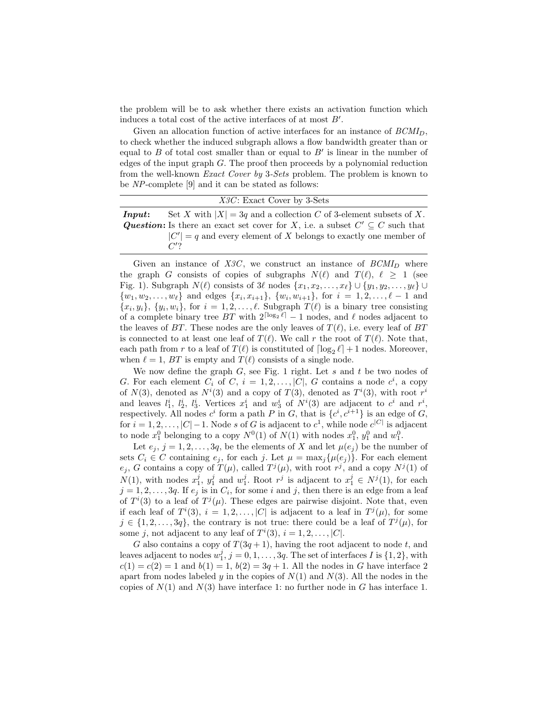the problem will be to ask whether there exists an activation function which induces a total cost of the active interfaces of at most  $B'$ .

Given an allocation function of active interfaces for an instance of  $BCMI<sub>D</sub>$ , to check whether the induced subgraph allows a flow bandwidth greater than or equal to  $B$  of total cost smaller than or equal to  $B'$  is linear in the number of edges of the input graph G. The proof then proceeds by a polynomial reduction from the well-known Exact Cover by 3-Sets problem. The problem is known to be NP-complete [9] and it can be stated as follows:

| $X3C$ : Exact Cover by 3-Sets                                                                |
|----------------------------------------------------------------------------------------------|
| Set X with $ X  = 3q$ and a collection C of 3-element subsets of X.<br>Input:                |
| <b>Question:</b> Is there an exact set cover for X, i.e. a subset $C' \subseteq C$ such that |
| $ C'  = q$ and every element of X belongs to exactly one member of                           |
| $C^{\prime}$ ?                                                                               |

Given an instance of  $X3C$ , we construct an instance of  $BCMI_D$  where the graph G consists of copies of subgraphs  $N(\ell)$  and  $T(\ell), \ell \geq 1$  (see Fig. 1). Subgraph  $N(\ell)$  consists of  $3\ell$  nodes  $\{x_1, x_2, \ldots, x_\ell\} \cup \{y_1, y_2, \ldots, y_\ell\} \cup$  $\{w_1, w_2, \ldots, w_\ell\}$  and edges  $\{x_i, x_{i+1}\}, \{w_i, w_{i+1}\},$  for  $i = 1, 2, \ldots, \ell - 1$  and  $\{x_i, y_i\}, \{y_i, w_i\},$  for  $i = 1, 2, \ldots, \ell$ . Subgraph  $T(\ell)$  is a binary tree consisting of a complete binary tree BT with  $2^{\lceil \log_2 \ell \rceil} - 1$  nodes, and  $\ell$  nodes adjacent to the leaves of BT. These nodes are the only leaves of  $T(\ell)$ , i.e. every leaf of BT is connected to at least one leaf of  $T(\ell)$ . We call r the root of  $T(\ell)$ . Note that, each path from r to a leaf of  $T(\ell)$  is constituted of  $\lceil \log_2 \ell \rceil + 1$  nodes. Moreover, when  $\ell = 1$ , BT is empty and  $T(\ell)$  consists of a single node.

We now define the graph  $G$ , see Fig. 1 right. Let  $s$  and  $t$  be two nodes of G. For each element  $C_i$  of  $C, i = 1, 2, \ldots, |C|, G$  contains a node  $c^i$ , a copy of  $N(3)$ , denoted as  $N^i(3)$  and a copy of  $T(3)$ , denoted as  $T^i(3)$ , with root  $r^i$ and leaves  $l_1^i$ ,  $l_2^i$ ,  $l_3^i$ . Vertices  $x_1^i$  and  $w_3^i$  of  $N^i(3)$  are adjacent to  $c^i$  and  $r^i$ , respectively. All nodes  $c^i$  form a path P in G, that is  $\{c^i, c^{i+1}\}\$ is an edge of G, for  $i = 1, 2, \ldots, |C| - 1$ . Node s of G is adjacent to  $c^1$ , while node  $c^{|C|}$  is adjacent to node  $x_1^0$  belonging to a copy  $N^0(1)$  of  $N(1)$  with nodes  $x_1^0$ ,  $y_1^0$  and  $w_1^0$ .

Let  $e_j$ ,  $j = 1, 2, ..., 3q$ , be the elements of X and let  $\mu(e_j)$  be the number of sets  $C_i \in C$  containing  $e_i$ , for each j. Let  $\mu = \max_i {\{\mu(e_i)\}}$ . For each element  $e_j$ , G contains a copy of  $T(\mu)$ , called  $T^j(\mu)$ , with root  $r^j$ , and a copy  $N^j(1)$  of  $N(1)$ , with nodes  $x_1^j$ ,  $y_1^j$  and  $w_1^j$ . Root  $r^j$  is adjacent to  $x_1^j \in N^j(1)$ , for each  $j = 1, 2, \ldots, 3q$ . If  $e_j$  is in  $C_i$ , for some i and j, then there is an edge from a leaf of  $T^i(3)$  to a leaf of  $T^j(\mu)$ . These edges are pairwise disjoint. Note that, even if each leaf of  $T^i(3)$ ,  $i = 1, 2, ..., |C|$  is adjacent to a leaf in  $T^j(\mu)$ , for some  $j \in \{1, 2, \ldots, 3q\}$ , the contrary is not true: there could be a leaf of  $T^{j}(\mu)$ , for some j, not adjacent to any leaf of  $T^i(3)$ ,  $i = 1, 2, \ldots, |C|$ .

G also contains a copy of  $T(3q+1)$ , having the root adjacent to node t, and leaves adjacent to nodes  $w_1^j$ ,  $j = 0, 1, \ldots, 3q$ . The set of interfaces I is  $\{1, 2\}$ , with  $c(1) = c(2) = 1$  and  $b(1) = 1$ ,  $b(2) = 3q + 1$ . All the nodes in G have interface 2 apart from nodes labeled y in the copies of  $N(1)$  and  $N(3)$ . All the nodes in the copies of  $N(1)$  and  $N(3)$  have interface 1: no further node in G has interface 1.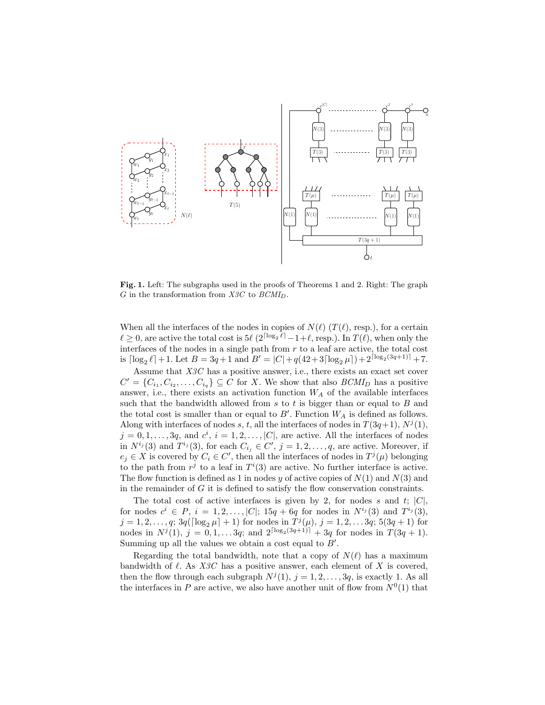

Fig. 1. Left: The subgraphs used in the proofs of Theorems 1 and 2. Right: The graph  $G$  in the transformation from  $X3C$  to  $BCMI_D$ .

When all the interfaces of the nodes in copies of  $N(\ell)$  (T $(\ell)$ , resp.), for a certain  $\ell \geq 0$ , are active the total cost is  $5\ell \left(2^{\lceil \log_2 \ell \rceil} - 1 + \ell, \text{resp.}\right)$ . In  $T(\ell)$ , when only the interfaces of the nodes in a single path from  $r$  to a leaf are active, the total cost is  $\lceil \log_2 \ell \rceil + 1$ . Let  $B = 3q + 1$  and  $B' = |C| + q(42 + 3\lceil \log_2 \mu \rceil) + 2^{\lceil \log_2(3q+1) \rceil} + 7$ .

Assume that X3C has a positive answer, i.e., there exists an exact set cover  $C' = \{C_{i_1}, C_{i_2}, \ldots, C_{i_q}\} \subseteq C$  for X. We show that also  $BCMI_D$  has a positive answer, i.e., there exists an activation function  $W_A$  of the available interfaces such that the bandwidth allowed from  $s$  to  $t$  is bigger than or equal to  $B$  and the total cost is smaller than or equal to  $B'$ . Function  $W_A$  is defined as follows. Along with interfaces of nodes s, t, all the interfaces of nodes in  $T(3q+1)$ ,  $N^j(1)$ ,  $j = 0, 1, \ldots, 3q$ , and  $c^i$ ,  $i = 1, 2, \ldots, |C|$ , are active. All the interfaces of nodes in  $N^{i_j}(3)$  and  $T^{i_j}(3)$ , for each  $C_{i_j} \in \mathbb{C}'$ ,  $j = 1, 2, \ldots, q$ , are active. Moreover, if  $e_j \in X$  is covered by  $C_i \in C'$ , then all the interfaces of nodes in  $T^j(\mu)$  belonging to the path from  $r^j$  to a leaf in  $T^i(3)$  are active. No further interface is active. The flow function is defined as 1 in nodes y of active copies of  $N(1)$  and  $N(3)$  and in the remainder of  $G$  it is defined to satisfy the flow conservation constraints.

The total cost of active interfaces is given by 2, for nodes s and t;  $|C|$ , for nodes  $c^i \in P$ ,  $i = 1, 2, ..., |C|$ ;  $15q + 6q$  for nodes in  $N^{i_j}(3)$  and  $T^{i_j}(3)$ ,  $j = 1, 2, \ldots, q; 3q(\lceil \log_2 \mu \rceil + 1)$  for nodes in  $T^j(\mu), j = 1, 2, \ldots, 3q; 5(3q + 1)$  for nodes in  $N^{j}(1)$ ,  $j = 0, 1, \ldots 3q$ ; and  $2^{\lceil \log_2(3q+1) \rceil} + 3q$  for nodes in  $T(3q+1)$ . Summing up all the values we obtain a cost equal to  $B'$ .

Regarding the total bandwidth, note that a copy of  $N(\ell)$  has a maximum bandwidth of  $\ell$ . As X3C has a positive answer, each element of X is covered, then the flow through each subgraph  $N^{j}(1)$ ,  $j = 1, 2, ..., 3q$ , is exactly 1. As all the interfaces in P are active, we also have another unit of flow from  $N^0(1)$  that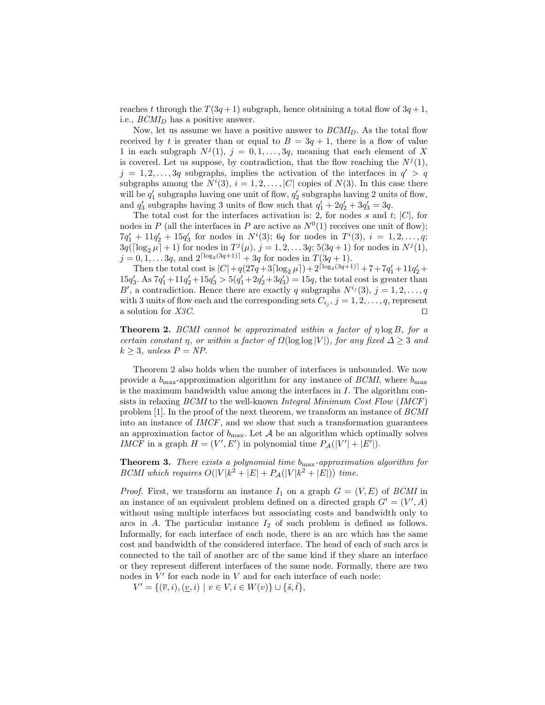reaches t through the  $T(3q+1)$  subgraph, hence obtaining a total flow of  $3q+1$ , i.e.,  $BCMI_D$  has a positive answer.

Now, let us assume we have a positive answer to  $BCMI<sub>D</sub>$ . As the total flow received by t is greater than or equal to  $B = 3q + 1$ , there is a flow of value 1 in each subgraph  $N^{j}(1), j = 0, 1, ..., 3q$ , meaning that each element of X is covered. Let us suppose, by contradiction, that the flow reaching the  $N^{j}(1)$ ,  $j = 1, 2, \ldots, 3q$  subgraphs, implies the activation of the interfaces in  $q' > q$ subgraphs among the  $N^i(3)$ ,  $i = 1, 2, ..., |C|$  copies of  $N(3)$ . In this case there will be  $q'_1$  subgraphs having one unit of flow,  $q'_2$  subgraphs having 2 units of flow, and  $q'_3$  subgraphs having 3 units of flow such that  $q'_1 + 2q'_2 + 3q'_3 = 3q$ .

The total cost for the interfaces activation is: 2, for nodes s and t;  $|C|$ , for nodes in P (all the interfaces in P are active as  $N^0(1)$  receives one unit of flow);  $7q'_1 + 11q'_2 + 15q'_3$  for nodes in  $N^i(3)$ ; 6q for nodes in  $T^i(3)$ ,  $i = 1, 2, ..., q$ ;  $3q(\lceil \log_2 \mu \rceil + 1)$  for nodes in  $T^j(\mu)$ ,  $j = 1, 2, \ldots 3q$ ;  $5(3q + 1)$  for nodes in  $N^j(1)$ ,  $j = 0, 1, \ldots 3q$ , and  $2^{\lceil \log_2(3q+1) \rceil} + 3q$  for nodes in  $T(3q + 1)$ .

Then the total cost is  $|C| + q(27q + 3\lceil \log_2 \mu \rceil) + 2^{\lceil \log_2(3q+1) \rceil} + 7 + 7q_1' + 11q_2' +$  $15q_3'$ . As  $7q_1' + 11q_2' + 15q_3' > 5(q_1' + 2q_2' + 3q_3') = 15q$ , the total cost is greater than B', a contradiction. Hence there are exactly q subgraphs  $N^{i_j}(3)$ ,  $j = 1, 2, \ldots, q$ with 3 units of flow each and the corresponding sets  $C_{i_j}$ ,  $j = 1, 2, ..., q$ , represent a solution for  $X3C$ .

Theorem 2. BCMI cannot be approximated within a factor of η log B, for a certain constant η, or within a factor of  $\Omega(\log \log |V|)$ , for any fixed  $\Delta \geq 3$  and  $k > 3$ , unless  $P = NP$ .

Theorem 2 also holds when the number of interfaces is unbounded. We now provide a  $b_{\text{max}}$ -approximation algorithm for any instance of *BCMI*, where  $b_{\text{max}}$ is the maximum bandwidth value among the interfaces in I. The algorithm consists in relaxing BCMI to the well-known Integral Minimum Cost Flow (IMCF) problem [1]. In the proof of the next theorem, we transform an instance of BCMI into an instance of  $IMCF$ , and we show that such a transformation guarantees an approximation factor of  $b_{\text{max}}$ . Let A be an algorithm which optimally solves IMCF in a graph  $H = (V', E')$  in polynomial time  $P_{\mathcal{A}}(|V'| + |E'|)$ .

**Theorem 3.** There exists a polynomial time  $b_{\text{max}}$ -approximation algorithm for BCMI which requires  $O(|V|k^2 + |E| + P_{\mathcal{A}}(|V|k^2 + |E|))$  time.

*Proof.* First, we transform an instance  $I_1$  on a graph  $G = (V, E)$  of *BCMI* in an instance of an equivalent problem defined on a directed graph  $G' = (V', A)$ without using multiple interfaces but associating costs and bandwidth only to arcs in  $A$ . The particular instance  $I_2$  of such problem is defined as follows. Informally, for each interface of each node, there is an arc which has the same cost and bandwidth of the considered interface. The head of each of such arcs is connected to the tail of another arc of the same kind if they share an interface or they represent different interfaces of the same node. Formally, there are two nodes in  $V'$  for each node in  $V$  and for each interface of each node:

 $V' = \{(\overline{v}, i), (\underline{v}, i) \mid v \in V, i \in W(v)\} \cup \{\tilde{s}, \tilde{t}\},\$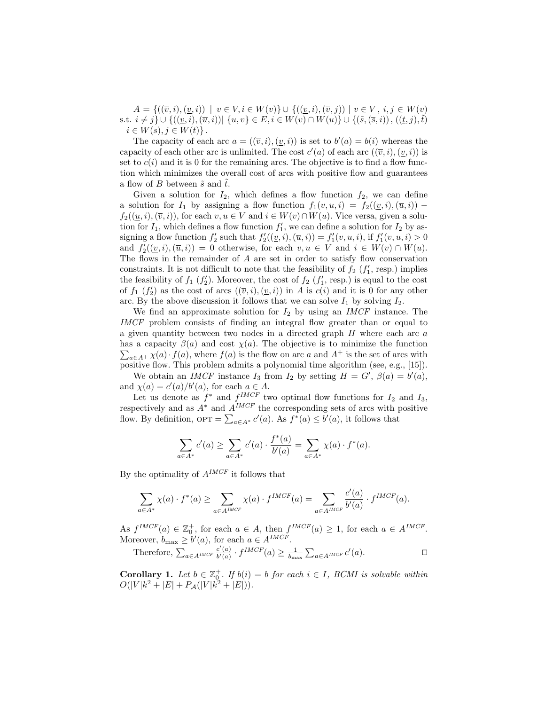$A = \{((\overline{v}, i), (v, i)) \mid v \in V, i \in W(v)\} \cup \{((v, i), (\overline{v}, j)) \mid v \in V, i, j \in W(v)\}$ s.t.  $i \neq j$   $\cup$   $\{((\underline{v}, i), (\overline{u}, i)) | \{u, v\} \in E, i \in W(v) \cap W(u)\}$   $\cup$   $\{(\tilde{s}, (\bar{s}, i)) , ((\underline{t}, j), \tilde{t})\}$  $| i \in W(s), j \in W(t) \}.$ 

The capacity of each arc  $a = ((\overline{v}, i), (v, i))$  is set to  $b'(a) = b(i)$  whereas the capacity of each other arc is unlimited. The cost  $c'(a)$  of each arc  $((\overline{v}, i), (\underline{v}, i))$  is set to  $c(i)$  and it is 0 for the remaining arcs. The objective is to find a flow function which minimizes the overall cost of arcs with positive flow and guarantees a flow of B between  $\tilde{s}$  and  $\tilde{t}$ .

Given a solution for  $I_2$ , which defines a flow function  $f_2$ , we can define a solution for  $I_1$  by assigning a flow function  $f_1(v, u, i) = f_2((\underline{v}, i), (\overline{u}, i))$  $f_2((\underline{u}, i), (\overline{v}, i))$ , for each  $v, u \in V$  and  $i \in W(v) \cap W(u)$ . Vice versa, given a solution for  $I_1$ , which defines a flow function  $f'_1$ , we can define a solution for  $I_2$  by assigning a flow function  $f'_2$  such that  $f'_2((\underline{v}, i), (\overline{u}, i)) = f'_1(v, u, i)$ , if  $f'_1(v, u, i) > 0$ and  $f'_{2}((\underline{v},i),(\overline{u},i)) = 0$  otherwise, for each  $v, u \in V$  and  $i \in W(v) \cap W(u)$ . The flows in the remainder of  $A$  are set in order to satisfy flow conservation constraints. It is not difficult to note that the feasibility of  $f_2(f'_1, \text{resp.})$  implies the feasibility of  $f_1(f_2')$ . Moreover, the cost of  $f_2(f_1', \text{resp.})$  is equal to the cost of  $f_1(f'_2)$  as the cost of arcs  $((\overline{v}, i), (\underline{v}, i))$  in A is  $c(i)$  and it is 0 for any other arc. By the above discussion it follows that we can solve  $I_1$  by solving  $I_2$ .

We find an approximate solution for  $I_2$  by using an *IMCF* instance. The IMCF problem consists of finding an integral flow greater than or equal to a given quantity between two nodes in a directed graph  $H$  where each arc  $a$ has a capacity  $\beta(a)$  and cost  $\chi(a)$ . The objective is to minimize the function  $\sum_{a\in A^{+}} \chi(a) \cdot f(a)$ , where  $f(a)$  is the flow on arc a and  $A^{+}$  is the set of arcs with positive flow. This problem admits a polynomial time algorithm (see, e.g., [15]).

We obtain an *IMCF* instance  $I_3$  from  $I_2$  by setting  $H = G'$ ,  $\beta(a) = b'(a)$ , and  $\chi(a) = c'(a)/b'(a)$ , for each  $a \in A$ .

Let us denote as  $f^*$  and  $f^{IMCF}$  two optimal flow functions for  $I_2$  and  $I_3$ , respectively and as  $A^*$  and  $A^{IMCF}$  the corresponding sets of arcs with positive flow. By definition,  $\text{OPT} = \sum_{a \in A^*} c'(a)$ . As  $f^*(a) \leq b'(a)$ , it follows that

$$
\sum_{a \in A^*} c'(a) \ge \sum_{a \in A^*} c'(a) \cdot \frac{f^*(a)}{b'(a)} = \sum_{a \in A^*} \chi(a) \cdot f^*(a).
$$

By the optimality of  $A^{IMCF}$  it follows that

$$
\sum_{a \in A^*} \chi(a) \cdot f^*(a) \ge \sum_{a \in A^{IMCF}} \chi(a) \cdot f^{IMCF}(a) = \sum_{a \in A^{IMCF}} \frac{c'(a)}{b'(a)} \cdot f^{IMCF}(a).
$$

As  $f^{IMCF}(a) \in \mathbb{Z}_0^+$ , for each  $a \in A$ , then  $f^{IMCF}(a) \geq 1$ , for each  $a \in A^{IMCF}$ . Moreover,  $b_{\text{max}} \ge b'(a)$ , for each  $a \in A^{IMCF}$ .

Therefore, 
$$
\sum_{a \in A^{IMCF}} \frac{c'(a)}{b'(a)} \cdot f^{IMCF}(a) \ge \frac{1}{b_{\text{max}}} \sum_{a \in A^{IMCF}} c'(a)
$$
.

**Corollary 1.** Let  $b \in \mathbb{Z}_0^+$ . If  $b(i) = b$  for each  $i \in I$ , BCMI is solvable within  $O(|V|k^2 + |E| + P_{\mathcal{A}}(|V|k^2 + |E|)).$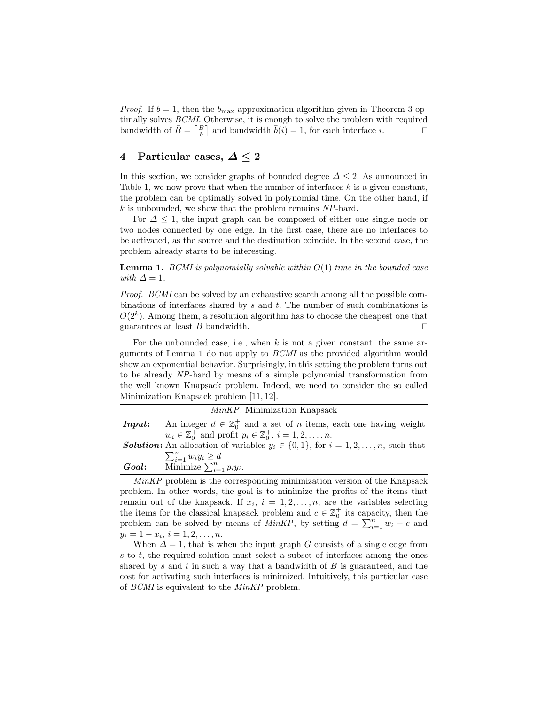*Proof.* If  $b = 1$ , then the  $b_{\text{max}}$ -approximation algorithm given in Theorem 3 optimally solves *BCMI*. Otherwise, it is enough to solve the problem with required timally solves *BCMI*. Otherwise, it is enough to solve the problem with required bandwidth of  $\bar{B} = \begin{bmatrix} B \\ b \end{bmatrix}$  and bandwidth  $\bar{b}(i) = 1$ , for each interface i.

#### 4 Particular cases,  $\Delta \leq 2$

In this section, we consider graphs of bounded degree  $\Delta \leq 2$ . As announced in Table 1, we now prove that when the number of interfaces  $k$  is a given constant, the problem can be optimally solved in polynomial time. On the other hand, if k is unbounded, we show that the problem remains NP-hard.

For  $\Delta \leq 1$ , the input graph can be composed of either one single node or two nodes connected by one edge. In the first case, there are no interfaces to be activated, as the source and the destination coincide. In the second case, the problem already starts to be interesting.

**Lemma 1.** BCMI is polynomially solvable within  $O(1)$  time in the bounded case with  $\Delta = 1$ .

Proof. BCMI can be solved by an exhaustive search among all the possible combinations of interfaces shared by  $s$  and  $t$ . The number of such combinations is  $O(2<sup>k</sup>)$ . Among them, a resolution algorithm has to choose the cheapest one that guarantees at least B bandwidth.  $\square$ 

For the unbounded case, i.e., when  $k$  is not a given constant, the same arguments of Lemma 1 do not apply to BCMI as the provided algorithm would show an exponential behavior. Surprisingly, in this setting the problem turns out to be already NP-hard by means of a simple polynomial transformation from the well known Knapsack problem. Indeed, we need to consider the so called Minimization Knapsack problem [11, 12].

|                                                                                                  | <i>MinKP</i> : Minimization Knapsack                                                  |  |
|--------------------------------------------------------------------------------------------------|---------------------------------------------------------------------------------------|--|
| Input:                                                                                           | An integer $d \in \mathbb{Z}_0^+$ and a set of <i>n</i> items, each one having weight |  |
|                                                                                                  | $w_i \in \mathbb{Z}_0^+$ and profit $p_i \in \mathbb{Z}_0^+, i = 1, 2, \ldots, n$ .   |  |
| <b>Solution:</b> An allocation of variables $y_i \in \{0, 1\}$ , for $i = 1, 2, , n$ , such that |                                                                                       |  |
|                                                                                                  | $\sum_{i=1}^n w_i y_i \geq d$                                                         |  |
| Goal:                                                                                            | Minimize $\sum_{i=1}^n p_i y_i$ .                                                     |  |

 $MinKP$  problem is the corresponding minimization version of the Knapsack problem. In other words, the goal is to minimize the profits of the items that remain out of the knapsack. If  $x_i$ ,  $i = 1, 2, ..., n$ , are the variables selecting the items for the classical knapsack problem and  $c \in \mathbb{Z}_0^+$  its capacity, then the problem can be solved by means of  $MinKP$ , by setting  $d = \sum_{i=1}^{n} w_i - c$  and  $y_i = 1 - x_i, i = 1, 2, \ldots, n.$ 

When  $\Delta = 1$ , that is when the input graph G consists of a single edge from s to t, the required solution must select a subset of interfaces among the ones shared by s and t in such a way that a bandwidth of  $B$  is guaranteed, and the cost for activating such interfaces is minimized. Intuitively, this particular case of BCMI is equivalent to the MinKP problem.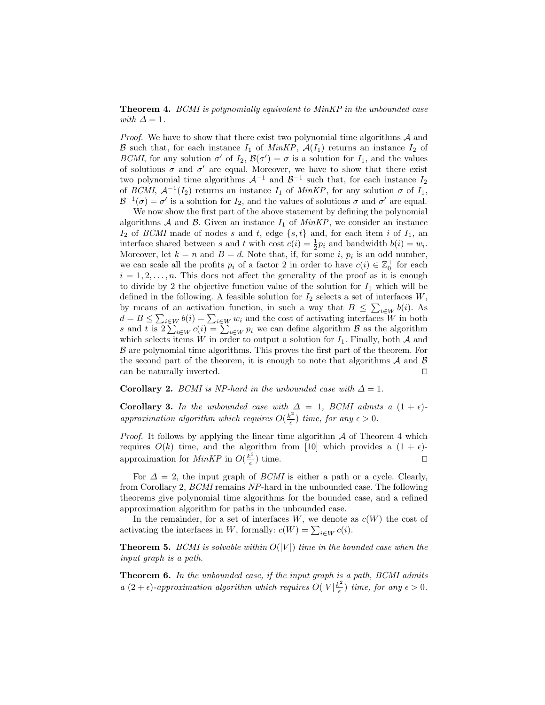**Theorem 4.** BCMI is polynomially equivalent to MinKP in the unbounded case with  $\Delta = 1$ .

*Proof.* We have to show that there exist two polynomial time algorithms  $A$  and B such that, for each instance  $I_1$  of MinKP,  $\mathcal{A}(I_1)$  returns an instance  $I_2$  of BCMI, for any solution  $\sigma'$  of  $I_2$ ,  $\mathcal{B}(\sigma') = \sigma$  is a solution for  $I_1$ , and the values of solutions  $\sigma$  and  $\sigma'$  are equal. Moreover, we have to show that there exist two polynomial time algorithms  $\mathcal{A}^{-1}$  and  $\mathcal{B}^{-1}$  such that, for each instance  $I_2$ of BCMI,  $\mathcal{A}^{-1}(I_2)$  returns an instance  $I_1$  of  $MinKP$ , for any solution  $\sigma$  of  $I_1$ ,  $\mathcal{B}^{-1}(\sigma) = \sigma'$  is a solution for  $I_2$ , and the values of solutions  $\sigma$  and  $\sigma'$  are equal.

We now show the first part of the above statement by defining the polynomial algorithms  $A$  and  $B$ . Given an instance  $I_1$  of  $MinKP$ , we consider an instance  $I_2$  of BCMI made of nodes s and t, edge  $\{s, t\}$  and, for each item i of  $I_1$ , an interface shared between s and t with cost  $c(i) = \frac{1}{2}p_i$  and bandwidth  $b(i) = w_i$ . Moreover, let  $k = n$  and  $B = d$ . Note that, if, for some i,  $p_i$  is an odd number, we can scale all the profits  $p_i$  of a factor 2 in order to have  $c(i) \in \mathbb{Z}_0^+$  for each  $i = 1, 2, \ldots, n$ . This does not affect the generality of the proof as it is enough to divide by 2 the objective function value of the solution for  $I_1$  which will be defined in the following. A feasible solution for  $I_2$  selects a set of interfaces  $W$ , by means of an activation function, in such a way that  $B \leq \sum_{i \in W} b(i)$ . As by means of an activation function, in such a way that  $B \leq \sum_{i \in W} v(i)$ . As  $d = B \leq \sum_{i \in W} b(i) = \sum_{i \in W} w_i$  and the cost of activating interfaces W in both s and t is  $2\sum_{i \in W} c(i) = \sum_{i \in W} p_i$  we can define algorithm B as which selects items W in order to output a solution for  $I_1$ . Finally, both A and  $\beta$  are polynomial time algorithms. This proves the first part of the theorem. For the second part of the theorem, it is enough to note that algorithms  $A$  and  $B$ can be naturally inverted.  $\Box$ 

#### Corollary 2. BCMI is NP-hard in the unbounded case with  $\Delta = 1$ .

Corollary 3. In the unbounded case with  $\Delta = 1$ , BCMI admits a  $(1 + \epsilon)$ approximation algorithm which requires  $O(\frac{k^2}{\epsilon})$  $\frac{\partial^2}{\partial \epsilon}$ ) time, for any  $\epsilon > 0$ .

*Proof.* It follows by applying the linear time algorithm  $A$  of Theorem 4 which requires  $O(k)$  time, and the algorithm from [10] which provides a  $(1 + \epsilon)$ approximation for *MinKP* in  $O(\frac{k^2}{\epsilon})$  $\left(\frac{e^2}{\epsilon}\right)$  time.

For  $\Delta = 2$ , the input graph of *BCMI* is either a path or a cycle. Clearly, from Corollary 2, BCMI remains NP-hard in the unbounded case. The following theorems give polynomial time algorithms for the bounded case, and a refined approximation algorithm for paths in the unbounded case.

In the remainder, for a set of interfaces  $W$ , we denote as  $c(W)$  the cost of In the remainder, for a set of interfaces w, we denote a<br>activating the interfaces in W, formally:  $c(W) = \sum_{i \in W} c(i)$ .

**Theorem 5.** BCMI is solvable within  $O(|V|)$  time in the bounded case when the input graph is a path.

Theorem 6. In the unbounded case, if the input graph is a path, BCMI admits a  $(2 + \epsilon)$ -approximation algorithm which requires  $O(|V| \frac{k^2}{\epsilon})$  $\frac{\partial^2}{\partial \epsilon}$ ) time, for any  $\epsilon > 0$ .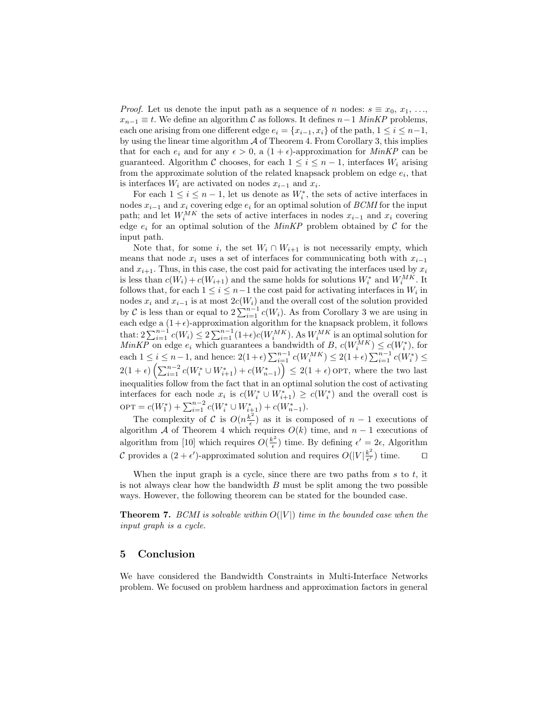*Proof.* Let us denote the input path as a sequence of n nodes:  $s \equiv x_0, x_1, \ldots,$  $x_{n-1} \equiv t$ . We define an algorithm C as follows. It defines  $n-1$  MinKP problems, each one arising from one different edge  $e_i = \{x_{i-1}, x_i\}$  of the path,  $1 \leq i \leq n-1$ , by using the linear time algorithm  $A$  of Theorem 4. From Corollary 3, this implies that for each  $e_i$  and for any  $\epsilon > 0$ , a  $(1 + \epsilon)$ -approximation for *MinKP* can be guaranteed. Algorithm C chooses, for each  $1 \leq i \leq n-1$ , interfaces  $W_i$  arising from the approximate solution of the related knapsack problem on edge  $e_i$ , that is interfaces  $W_i$  are activated on nodes  $x_{i-1}$  and  $x_i$ .

For each  $1 \leq i \leq n-1$ , let us denote as  $W_i^*$ , the sets of active interfaces in nodes  $x_{i-1}$  and  $x_i$  covering edge  $e_i$  for an optimal solution of BCMI for the input path; and let  $W_i^{MK}$  the sets of active interfaces in nodes  $x_{i-1}$  and  $x_i$  covering edge  $e_i$  for an optimal solution of the MinKP problem obtained by  $\mathcal C$  for the input path.

Note that, for some i, the set  $W_i \cap W_{i+1}$  is not necessarily empty, which means that node  $x_i$  uses a set of interfaces for communicating both with  $x_{i-1}$ and  $x_{i+1}$ . Thus, in this case, the cost paid for activating the interfaces used by  $x_i$ is less than  $c(W_i) + c(W_{i+1})$  and the same holds for solutions  $W_i^*$  and  $W_i^{MK}$ . It follows that, for each  $1 \leq i \leq n-1$  the cost paid for activating interfaces in  $W_i$  in nodes  $x_i$  and  $x_{i-1}$  is at most  $2c(W_i)$  and the overall cost of the solution provided by C is less than or equal to  $2\sum_{i=1}^{n-1} c(W_i)$ . As from Corollary 3 we are using in each edge a  $(1+\epsilon)$ -approximation algorithm for the knapsack problem, it follows each edge a (1+ $\epsilon$ )-approximation algorithm for the knapsack problem, it follows that:  $2\sum_{i=1}^{n-1} c(W_i) \leq 2\sum_{i=1}^{n-1} (1+\epsilon)c(W_i^{MK})$ . As  $W_i^{MK}$  is an optimal solution for  $MinKP$  on edge  $e_i$  which guarantees a bandwidth of B,  $c(W_i^{MK}) \leq c(W_i^*)$ , for which for eage  $e_i$  which guarantees a bandwidth of  $B$ ,  $e(w_i) \leq e(w_i)$ , for each  $1 \leq i \leq n-1$ , and hence:  $2(1+\epsilon) \sum_{i=1}^{n-1} c(W_i^M) \leq 2(1+\epsilon) \sum_{i=1}^{n-1} c(W_i^*) \leq$ each 1  $\leq i \leq n-2$ <br>2(1 +  $\epsilon$ )  $\left(\sum_{i=1}^{n-2} \right)$  $\sum_{i=1}^{n-2} c(W_i^* \cup W_{i+1}^*) + c(W_{n-1}^*)$  $\equiv$  $\leq 2(1+\epsilon)$  OPT, where the two last inequalities follow from the fact that in an optimal solution the cost of activating interfaces for each node  $x_i$  is  $c(W_i^* \cup W_{i+1}^*) \geq c(W_i^*)$  and the overall cost is opt = c(W<sub>i</sub><sup>+</sup>) +  $\sum_{i=1}^{n-2} c(W_i^* \cup W_{i+1}^*) + c(W_{n-1}^*)$ .

The complexity of C is  $O(n^{\frac{k^2}{2}})$  $\left(\frac{n^2}{\epsilon}\right)$  as it is composed of  $n-1$  executions of algorithm A of Theorem 4 which requires  $O(k)$  time, and  $n-1$  executions of algorithm from [10] which requires  $O(\frac{k^2}{\epsilon})$  $\epsilon^2$ ) time. By defining  $\epsilon' = 2\epsilon$ , Algorithm C provides a  $(2+\epsilon')$ -approximated solution and requires  $O(|V| \frac{k^2}{\epsilon'}$  $\frac{k^2}{\epsilon'}$ ) time.  $\Box$ 

When the input graph is a cycle, since there are two paths from  $s$  to  $t$ , it is not always clear how the bandwidth  $B$  must be split among the two possible ways. However, the following theorem can be stated for the bounded case.

**Theorem 7.** BCMI is solvable within  $O(|V|)$  time in the bounded case when the input graph is a cycle.

#### 5 Conclusion

We have considered the Bandwidth Constraints in Multi-Interface Networks problem. We focused on problem hardness and approximation factors in general